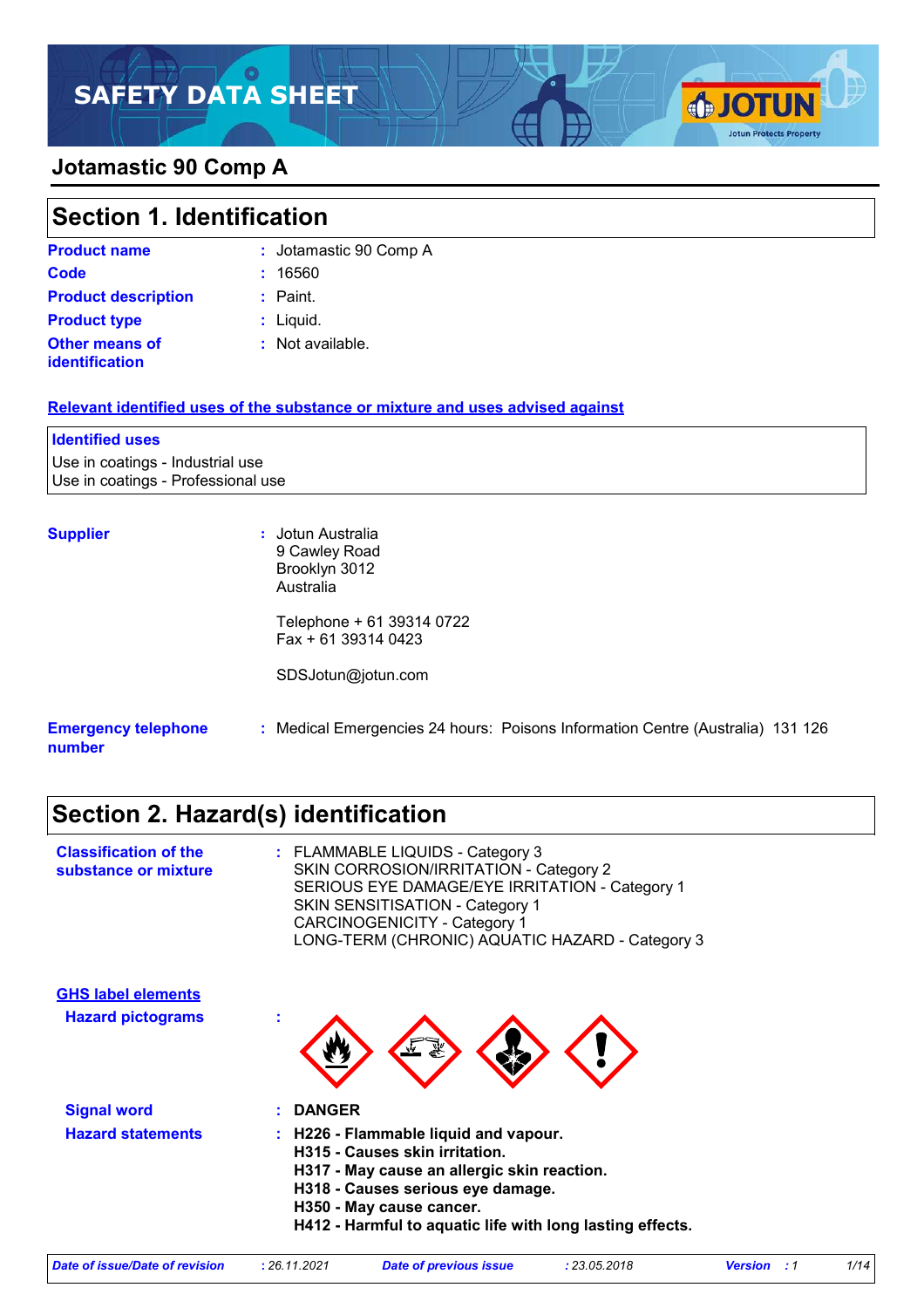### **Jotamastic 90 Comp A**

| Section 1. Identification  |                        |  |
|----------------------------|------------------------|--|
| <b>Product name</b>        | : Jotamastic 90 Comp A |  |
| Code                       | 16560                  |  |
| <b>Product description</b> | : Paint.               |  |
| <b>Product type</b>        | : Liquid.              |  |

**SOTUN** 

**Jotun Protects Property** 

**Other means of** 

**:** Not available.

#### **Relevant identified uses of the substance or mixture and uses advised against**

# **Identified uses**

Use in coatings - Industrial use Use in coatings - Professional use

**identification**

**Supplier :** Jotun Australia 9 Cawley Road Brooklyn 3012 Australia

> Telephone + 61 39314 0722 Fax + 61 39314 0423

SDSJotun@jotun.com

#### **Emergency telephone number :** Medical Emergencies 24 hours: Poisons Information Centre (Australia) 131 126

# **Section 2. Hazard(s) identification**

| <b>Classification of the</b><br>substance or mixture | : FLAMMABLE LIQUIDS - Category 3<br>SKIN CORROSION/IRRITATION - Category 2<br>SERIOUS EYE DAMAGE/EYE IRRITATION - Category 1<br><b>SKIN SENSITISATION - Category 1</b><br><b>CARCINOGENICITY - Category 1</b><br>LONG-TERM (CHRONIC) AQUATIC HAZARD - Category 3 |
|------------------------------------------------------|------------------------------------------------------------------------------------------------------------------------------------------------------------------------------------------------------------------------------------------------------------------|
| <b>GHS label elements</b>                            |                                                                                                                                                                                                                                                                  |
| <b>Hazard pictograms</b>                             | t                                                                                                                                                                                                                                                                |
| <b>Signal word</b>                                   | <b>DANGER</b>                                                                                                                                                                                                                                                    |
| <b>Hazard statements</b>                             | H226 - Flammable liquid and vapour.<br>H315 - Causes skin irritation.<br>H317 - May cause an allergic skin reaction.<br>H318 - Causes serious eye damage.<br>H350 - May cause cancer.<br>H412 - Harmful to aquatic life with long lasting effects.               |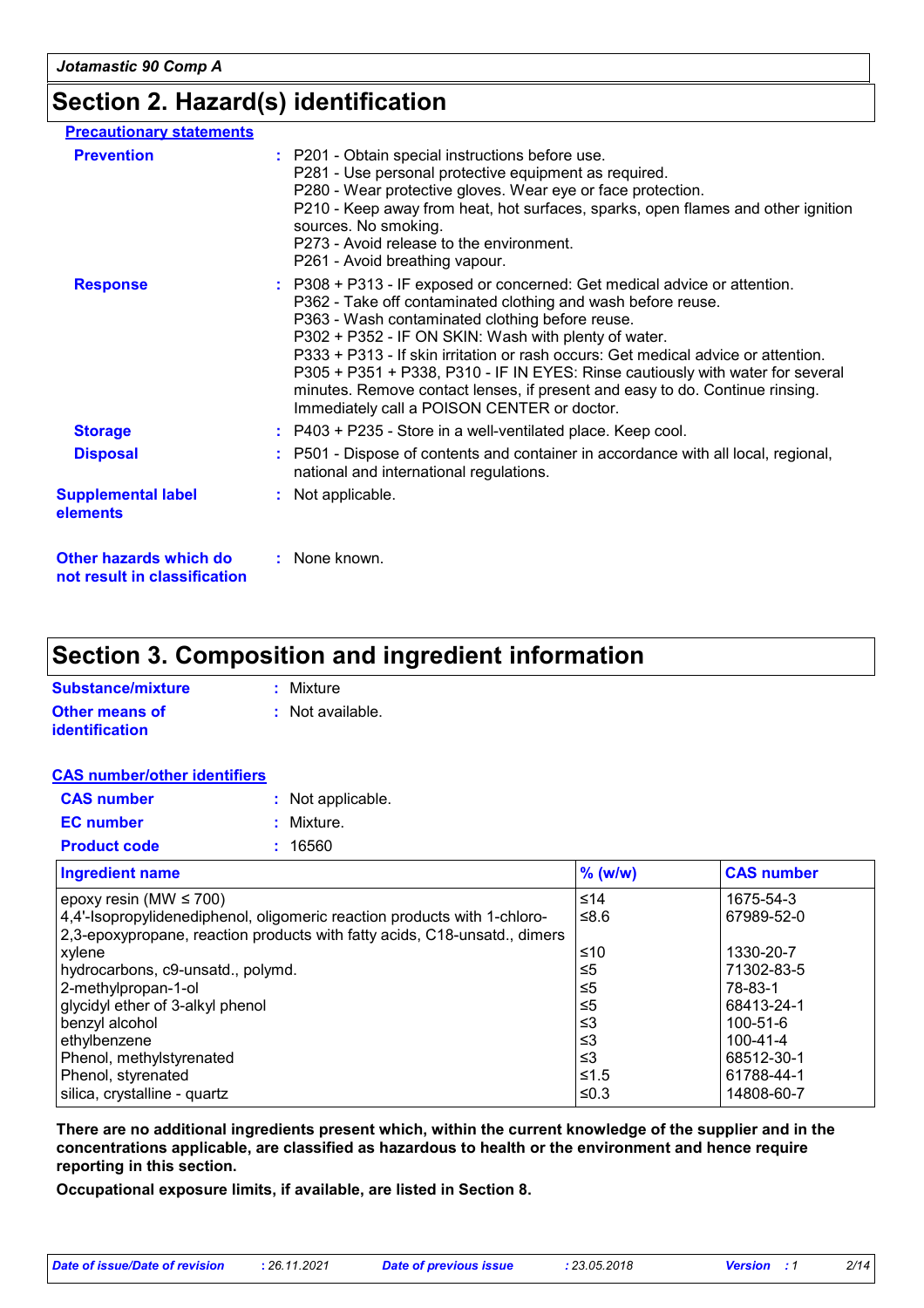### **Section 2. Hazard(s) identification**

| <b>Precautionary statements</b>                        |                                                                                                                                                                                                                                                                                                                                                                                                                                                                                                                                                            |
|--------------------------------------------------------|------------------------------------------------------------------------------------------------------------------------------------------------------------------------------------------------------------------------------------------------------------------------------------------------------------------------------------------------------------------------------------------------------------------------------------------------------------------------------------------------------------------------------------------------------------|
| <b>Prevention</b>                                      | : P201 - Obtain special instructions before use.<br>P281 - Use personal protective equipment as required.<br>P280 - Wear protective gloves. Wear eye or face protection.<br>P210 - Keep away from heat, hot surfaces, sparks, open flames and other ignition<br>sources. No smoking.<br>P273 - Avoid release to the environment.<br>P261 - Avoid breathing vapour.                                                                                                                                                                                         |
| <b>Response</b>                                        | : P308 + P313 - IF exposed or concerned: Get medical advice or attention.<br>P362 - Take off contaminated clothing and wash before reuse.<br>P363 - Wash contaminated clothing before reuse.<br>P302 + P352 - IF ON SKIN: Wash with plenty of water.<br>P333 + P313 - If skin irritation or rash occurs: Get medical advice or attention.<br>P305 + P351 + P338, P310 - IF IN EYES: Rinse cautiously with water for several<br>minutes. Remove contact lenses, if present and easy to do. Continue rinsing.<br>Immediately call a POISON CENTER or doctor. |
| <b>Storage</b>                                         | $:$ P403 + P235 - Store in a well-ventilated place. Keep cool.                                                                                                                                                                                                                                                                                                                                                                                                                                                                                             |
| <b>Disposal</b>                                        | : P501 - Dispose of contents and container in accordance with all local, regional,<br>national and international regulations.                                                                                                                                                                                                                                                                                                                                                                                                                              |
| <b>Supplemental label</b><br>elements                  | : Not applicable.                                                                                                                                                                                                                                                                                                                                                                                                                                                                                                                                          |
| Other hazards which do<br>not result in classification | : None known.                                                                                                                                                                                                                                                                                                                                                                                                                                                                                                                                              |

## **Section 3. Composition and ingredient information**

| Substance/mixture     | : Mixture                   |
|-----------------------|-----------------------------|
| Other means of        | $\therefore$ Not available. |
| <b>identification</b> |                             |

#### **CAS number/other identifiers**

| <b>CAS number</b>   | : Not applicable. |
|---------------------|-------------------|
| <b>EC</b> number    | : Mixture.        |
| <b>Product code</b> | : 16560           |

| <b>Ingredient name</b>                                                    | $%$ (w/w) | <b>CAS number</b> |
|---------------------------------------------------------------------------|-----------|-------------------|
| epoxy resin (MW $\leq$ 700)                                               | ≤14       | 1675-54-3         |
| 4,4'-Isopropylidenediphenol, oligomeric reaction products with 1-chloro-  | ≤8.6      | 67989-52-0        |
| 2,3-epoxypropane, reaction products with fatty acids, C18-unsatd., dimers |           |                   |
| xylene                                                                    | ≤10       | 1330-20-7         |
| hydrocarbons, c9-unsatd., polymd.                                         | $\leq 5$  | 71302-83-5        |
| 2-methylpropan-1-ol                                                       | ≤5        | 78-83-1           |
| glycidyl ether of 3-alkyl phenol                                          | $\leq 5$  | 68413-24-1        |
| benzyl alcohol                                                            | ≤3        | 100-51-6          |
| ethylbenzene                                                              | ≤3        | 100-41-4          |
| Phenol, methylstyrenated                                                  | ≤3        | 68512-30-1        |
| Phenol, styrenated                                                        | $≤1.5$    | 61788-44-1        |
| silica, crystalline - quartz                                              | ≤ $0.3$   | 14808-60-7        |

**There are no additional ingredients present which, within the current knowledge of the supplier and in the concentrations applicable, are classified as hazardous to health or the environment and hence require reporting in this section.**

**Occupational exposure limits, if available, are listed in Section 8.**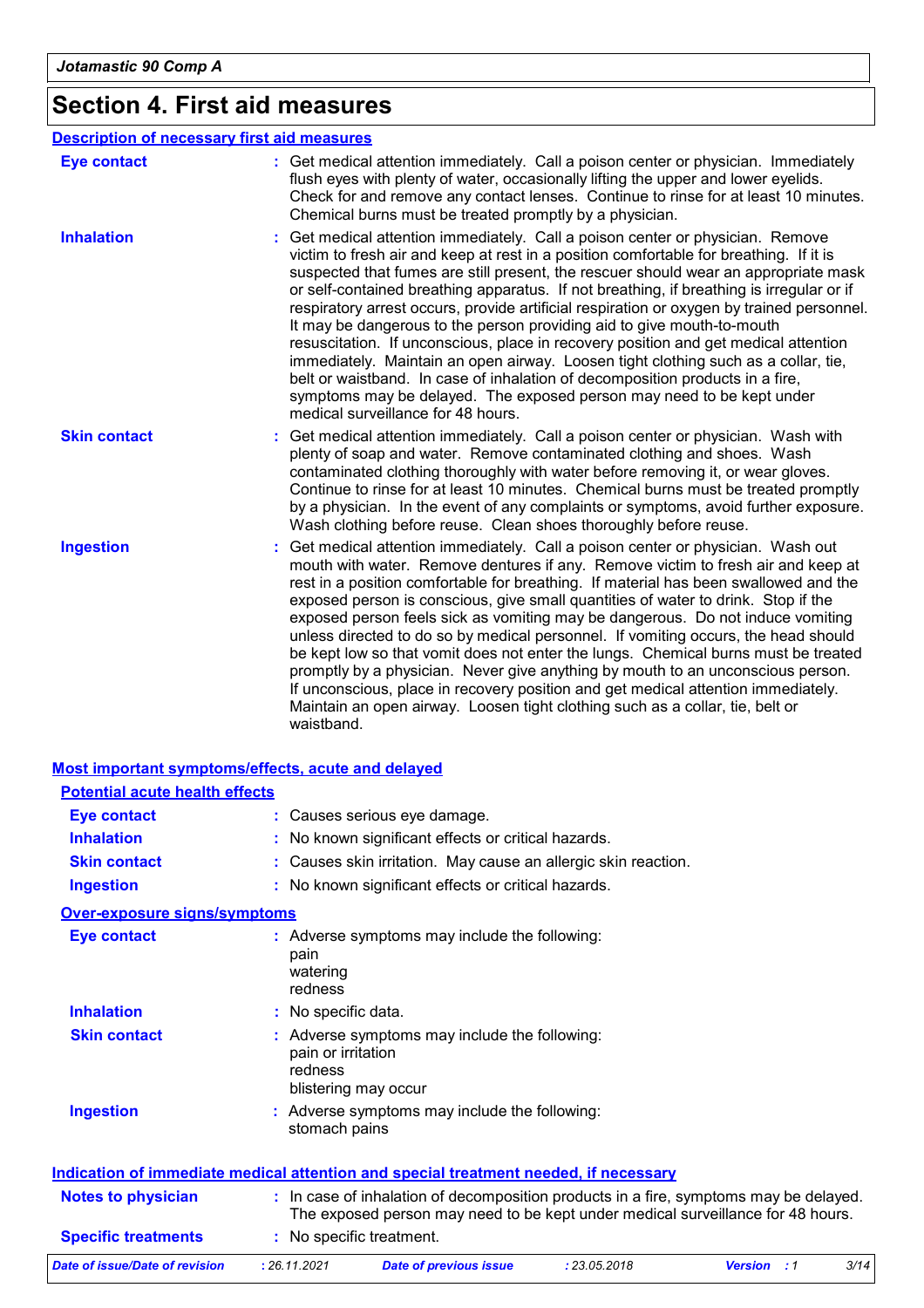# **Section 4. First aid measures**

|                     | <b>Description of necessary first aid measures</b>                                                                                                                                                                                                                                                                                                                                                                                                                                                                                                                                                                                                                                                                                                                                                                                                                                                            |
|---------------------|---------------------------------------------------------------------------------------------------------------------------------------------------------------------------------------------------------------------------------------------------------------------------------------------------------------------------------------------------------------------------------------------------------------------------------------------------------------------------------------------------------------------------------------------------------------------------------------------------------------------------------------------------------------------------------------------------------------------------------------------------------------------------------------------------------------------------------------------------------------------------------------------------------------|
| <b>Eye contact</b>  | : Get medical attention immediately. Call a poison center or physician. Immediately<br>flush eyes with plenty of water, occasionally lifting the upper and lower eyelids.<br>Check for and remove any contact lenses. Continue to rinse for at least 10 minutes.<br>Chemical burns must be treated promptly by a physician.                                                                                                                                                                                                                                                                                                                                                                                                                                                                                                                                                                                   |
| <b>Inhalation</b>   | Get medical attention immediately. Call a poison center or physician. Remove<br>victim to fresh air and keep at rest in a position comfortable for breathing. If it is<br>suspected that fumes are still present, the rescuer should wear an appropriate mask<br>or self-contained breathing apparatus. If not breathing, if breathing is irregular or if<br>respiratory arrest occurs, provide artificial respiration or oxygen by trained personnel.<br>It may be dangerous to the person providing aid to give mouth-to-mouth<br>resuscitation. If unconscious, place in recovery position and get medical attention<br>immediately. Maintain an open airway. Loosen tight clothing such as a collar, tie,<br>belt or waistband. In case of inhalation of decomposition products in a fire,<br>symptoms may be delayed. The exposed person may need to be kept under<br>medical surveillance for 48 hours. |
| <b>Skin contact</b> | Get medical attention immediately. Call a poison center or physician. Wash with<br>plenty of soap and water. Remove contaminated clothing and shoes. Wash<br>contaminated clothing thoroughly with water before removing it, or wear gloves.<br>Continue to rinse for at least 10 minutes. Chemical burns must be treated promptly<br>by a physician. In the event of any complaints or symptoms, avoid further exposure.<br>Wash clothing before reuse. Clean shoes thoroughly before reuse.                                                                                                                                                                                                                                                                                                                                                                                                                 |
| <b>Ingestion</b>    | Get medical attention immediately. Call a poison center or physician. Wash out<br>mouth with water. Remove dentures if any. Remove victim to fresh air and keep at<br>rest in a position comfortable for breathing. If material has been swallowed and the<br>exposed person is conscious, give small quantities of water to drink. Stop if the<br>exposed person feels sick as vomiting may be dangerous. Do not induce vomiting<br>unless directed to do so by medical personnel. If vomiting occurs, the head should<br>be kept low so that vomit does not enter the lungs. Chemical burns must be treated<br>promptly by a physician. Never give anything by mouth to an unconscious person.<br>If unconscious, place in recovery position and get medical attention immediately.<br>Maintain an open airway. Loosen tight clothing such as a collar, tie, belt or<br>waistband.                          |

|                                       | <b>Most important symptoms/effects, acute and delayed</b>                                                                                                                |
|---------------------------------------|--------------------------------------------------------------------------------------------------------------------------------------------------------------------------|
| <b>Potential acute health effects</b> |                                                                                                                                                                          |
| <b>Eye contact</b>                    | : Causes serious eye damage.                                                                                                                                             |
| <b>Inhalation</b>                     | : No known significant effects or critical hazards.                                                                                                                      |
| <b>Skin contact</b>                   | : Causes skin irritation. May cause an allergic skin reaction.                                                                                                           |
| <b>Ingestion</b>                      | : No known significant effects or critical hazards.                                                                                                                      |
| <b>Over-exposure signs/symptoms</b>   |                                                                                                                                                                          |
| <b>Eye contact</b>                    | : Adverse symptoms may include the following:<br>pain<br>watering<br>redness                                                                                             |
| <b>Inhalation</b>                     | : No specific data.                                                                                                                                                      |
| <b>Skin contact</b>                   | : Adverse symptoms may include the following:<br>pain or irritation<br>redness<br>blistering may occur                                                                   |
| <b>Ingestion</b>                      | : Adverse symptoms may include the following:<br>stomach pains                                                                                                           |
|                                       | Indication of immediate medical attention and special treatment needed, if necessary                                                                                     |
| <b>Notes to physician</b>             | : In case of inhalation of decomposition products in a fire, symptoms may be delayed.<br>The exposed person may need to be kept under medical surveillance for 48 hours. |
| <b>Specific treatments</b>            | : No specific treatment.                                                                                                                                                 |

| Date of issue/Date of revision | 26.11.2021 | <b>Date of previous issue</b> | 23.05.2018 | Version | 3/14 |
|--------------------------------|------------|-------------------------------|------------|---------|------|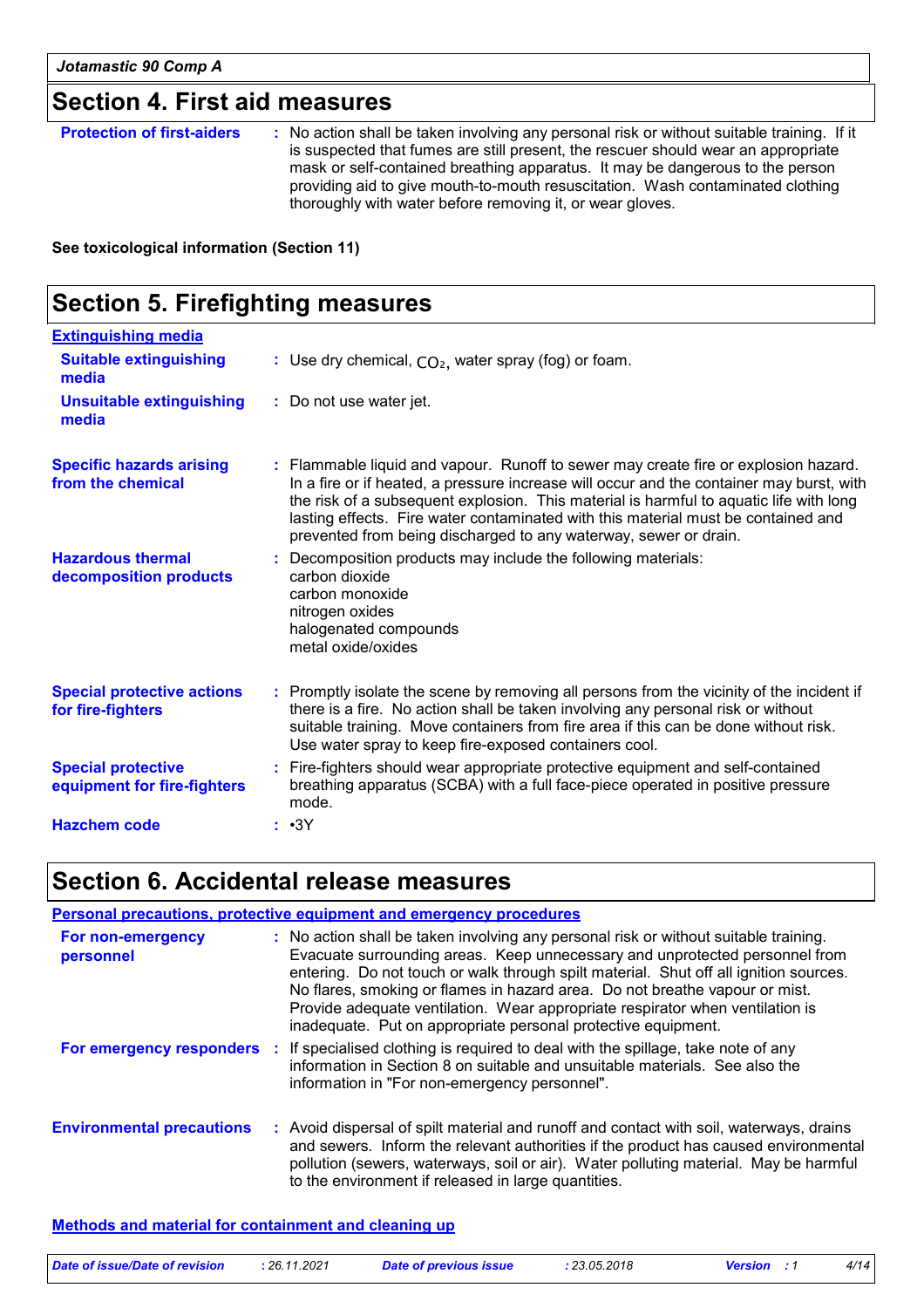### **Section 4. First aid measures**

| <b>Protection of first-aiders</b> | : No action shall be taken involving any personal risk or without suitable training. If it<br>is suspected that fumes are still present, the rescuer should wear an appropriate<br>mask or self-contained breathing apparatus. It may be dangerous to the person<br>providing aid to give mouth-to-mouth resuscitation. Wash contaminated clothing<br>thoroughly with water before removing it, or wear gloves. |
|-----------------------------------|-----------------------------------------------------------------------------------------------------------------------------------------------------------------------------------------------------------------------------------------------------------------------------------------------------------------------------------------------------------------------------------------------------------------|
|                                   |                                                                                                                                                                                                                                                                                                                                                                                                                 |

**See toxicological information (Section 11)**

#### **Section 5. Firefighting measures** Promptly isolate the scene by removing all persons from the vicinity of the incident if **:** there is a fire. No action shall be taken involving any personal risk or without suitable training. Move containers from fire area if this can be done without risk. Use water spray to keep fire-exposed containers cool. **Hazardous thermal decomposition products Specific hazards arising from the chemical** Decomposition products may include the following materials: **:** carbon dioxide carbon monoxide nitrogen oxides halogenated compounds metal oxide/oxides Flammable liquid and vapour. Runoff to sewer may create fire or explosion hazard. **:** In a fire or if heated, a pressure increase will occur and the container may burst, with the risk of a subsequent explosion. This material is harmful to aquatic life with long lasting effects. Fire water contaminated with this material must be contained and prevented from being discharged to any waterway, sewer or drain. Fire-fighters should wear appropriate protective equipment and self-contained **:** breathing apparatus (SCBA) with a full face-piece operated in positive pressure mode. **Special protective equipment for fire-fighters** Use dry chemical, CO₂, water spray (fog) or foam. **: Extinguishing media :** Do not use water jet. **Suitable extinguishing media Unsuitable extinguishing media Special protective actions for fire-fighters Hazchem code :** •3Y

### **Section 6. Accidental release measures**

|                                  | <b>Personal precautions, protective equipment and emergency procedures</b>                                                                                                                                                                                                                                                                                                                                                                                                                    |
|----------------------------------|-----------------------------------------------------------------------------------------------------------------------------------------------------------------------------------------------------------------------------------------------------------------------------------------------------------------------------------------------------------------------------------------------------------------------------------------------------------------------------------------------|
| For non-emergency<br>personnel   | : No action shall be taken involving any personal risk or without suitable training.<br>Evacuate surrounding areas. Keep unnecessary and unprotected personnel from<br>entering. Do not touch or walk through spilt material. Shut off all ignition sources.<br>No flares, smoking or flames in hazard area. Do not breathe vapour or mist.<br>Provide adequate ventilation. Wear appropriate respirator when ventilation is<br>inadequate. Put on appropriate personal protective equipment. |
|                                  | For emergency responders : If specialised clothing is required to deal with the spillage, take note of any<br>information in Section 8 on suitable and unsuitable materials. See also the<br>information in "For non-emergency personnel".                                                                                                                                                                                                                                                    |
| <b>Environmental precautions</b> | : Avoid dispersal of spilt material and runoff and contact with soil, waterways, drains<br>and sewers. Inform the relevant authorities if the product has caused environmental<br>pollution (sewers, waterways, soil or air). Water polluting material. May be harmful<br>to the environment if released in large quantities.                                                                                                                                                                 |

#### **Methods and material for containment and cleaning up**

| Date of issue/Date of revision | 26.11.2021 | <b>Date of previous issue</b> | 23.05.2018 | <b>Version</b> : 1 | 4/14 |
|--------------------------------|------------|-------------------------------|------------|--------------------|------|
|                                |            |                               |            |                    |      |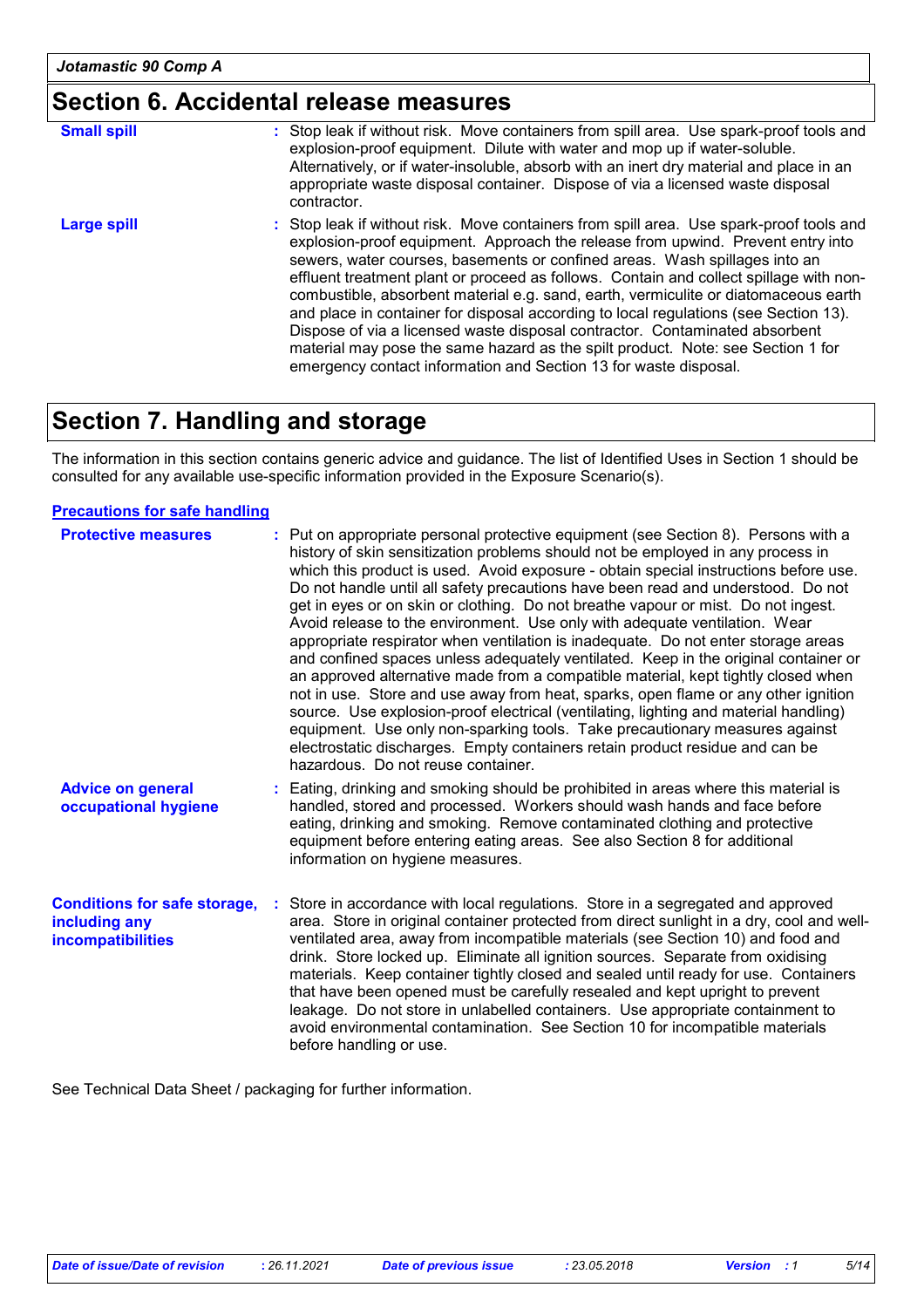### **Section 6. Accidental release measures**

| <b>Small spill</b> | : Stop leak if without risk. Move containers from spill area. Use spark-proof tools and<br>explosion-proof equipment. Dilute with water and mop up if water-soluble.<br>Alternatively, or if water-insoluble, absorb with an inert dry material and place in an<br>appropriate waste disposal container. Dispose of via a licensed waste disposal<br>contractor.                                                                                                                                                                                                                                                                                                                                                                                                        |
|--------------------|-------------------------------------------------------------------------------------------------------------------------------------------------------------------------------------------------------------------------------------------------------------------------------------------------------------------------------------------------------------------------------------------------------------------------------------------------------------------------------------------------------------------------------------------------------------------------------------------------------------------------------------------------------------------------------------------------------------------------------------------------------------------------|
| Large spill        | : Stop leak if without risk. Move containers from spill area. Use spark-proof tools and<br>explosion-proof equipment. Approach the release from upwind. Prevent entry into<br>sewers, water courses, basements or confined areas. Wash spillages into an<br>effluent treatment plant or proceed as follows. Contain and collect spillage with non-<br>combustible, absorbent material e.g. sand, earth, vermiculite or diatomaceous earth<br>and place in container for disposal according to local regulations (see Section 13).<br>Dispose of via a licensed waste disposal contractor. Contaminated absorbent<br>material may pose the same hazard as the spilt product. Note: see Section 1 for<br>emergency contact information and Section 13 for waste disposal. |

### **Section 7. Handling and storage**

The information in this section contains generic advice and guidance. The list of Identified Uses in Section 1 should be consulted for any available use-specific information provided in the Exposure Scenario(s).

#### **Precautions for safe handling**

| <b>Protective measures</b>                                                       | : Put on appropriate personal protective equipment (see Section 8). Persons with a<br>history of skin sensitization problems should not be employed in any process in<br>which this product is used. Avoid exposure - obtain special instructions before use.<br>Do not handle until all safety precautions have been read and understood. Do not<br>get in eyes or on skin or clothing. Do not breathe vapour or mist. Do not ingest.<br>Avoid release to the environment. Use only with adequate ventilation. Wear<br>appropriate respirator when ventilation is inadequate. Do not enter storage areas<br>and confined spaces unless adequately ventilated. Keep in the original container or<br>an approved alternative made from a compatible material, kept tightly closed when<br>not in use. Store and use away from heat, sparks, open flame or any other ignition<br>source. Use explosion-proof electrical (ventilating, lighting and material handling)<br>equipment. Use only non-sparking tools. Take precautionary measures against<br>electrostatic discharges. Empty containers retain product residue and can be<br>hazardous. Do not reuse container. |
|----------------------------------------------------------------------------------|--------------------------------------------------------------------------------------------------------------------------------------------------------------------------------------------------------------------------------------------------------------------------------------------------------------------------------------------------------------------------------------------------------------------------------------------------------------------------------------------------------------------------------------------------------------------------------------------------------------------------------------------------------------------------------------------------------------------------------------------------------------------------------------------------------------------------------------------------------------------------------------------------------------------------------------------------------------------------------------------------------------------------------------------------------------------------------------------------------------------------------------------------------------------------|
| <b>Advice on general</b><br>occupational hygiene                                 | : Eating, drinking and smoking should be prohibited in areas where this material is<br>handled, stored and processed. Workers should wash hands and face before<br>eating, drinking and smoking. Remove contaminated clothing and protective<br>equipment before entering eating areas. See also Section 8 for additional<br>information on hygiene measures.                                                                                                                                                                                                                                                                                                                                                                                                                                                                                                                                                                                                                                                                                                                                                                                                            |
| <b>Conditions for safe storage,</b><br>including any<br><b>incompatibilities</b> | Store in accordance with local regulations. Store in a segregated and approved<br>area. Store in original container protected from direct sunlight in a dry, cool and well-<br>ventilated area, away from incompatible materials (see Section 10) and food and<br>drink. Store locked up. Eliminate all ignition sources. Separate from oxidising<br>materials. Keep container tightly closed and sealed until ready for use. Containers<br>that have been opened must be carefully resealed and kept upright to prevent<br>leakage. Do not store in unlabelled containers. Use appropriate containment to<br>avoid environmental contamination. See Section 10 for incompatible materials<br>before handling or use.                                                                                                                                                                                                                                                                                                                                                                                                                                                    |

See Technical Data Sheet / packaging for further information.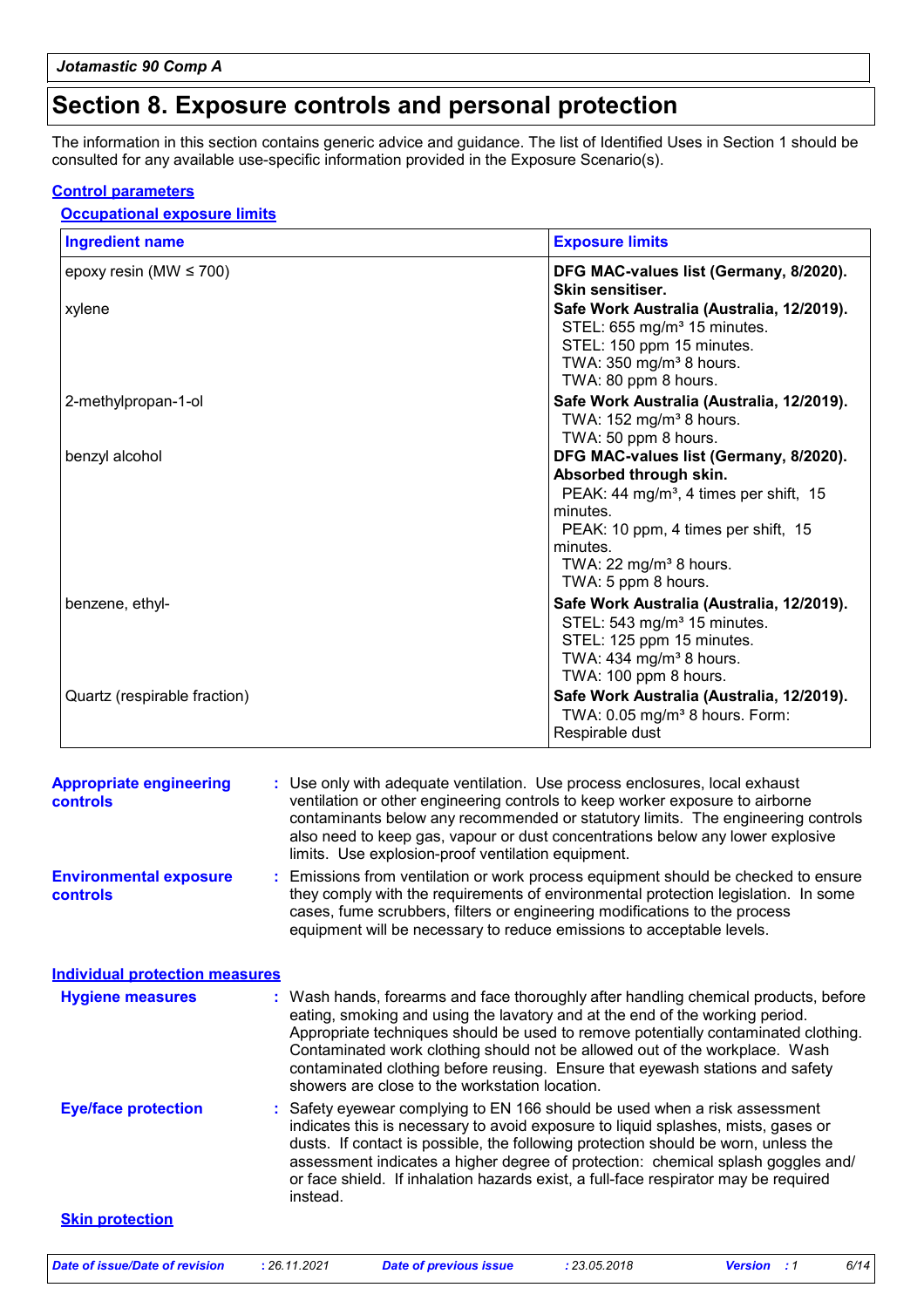### **Section 8. Exposure controls and personal protection**

The information in this section contains generic advice and guidance. The list of Identified Uses in Section 1 should be consulted for any available use-specific information provided in the Exposure Scenario(s).

#### **Control parameters**

#### **Occupational exposure limits**

| <b>Ingredient name</b>       | <b>Exposure limits</b>                                                                                                                                                                                                                             |
|------------------------------|----------------------------------------------------------------------------------------------------------------------------------------------------------------------------------------------------------------------------------------------------|
| epoxy resin (MW $\leq$ 700)  | DFG MAC-values list (Germany, 8/2020).<br>Skin sensitiser.                                                                                                                                                                                         |
| xylene                       | Safe Work Australia (Australia, 12/2019).<br>STEL: 655 mg/m <sup>3</sup> 15 minutes.<br>STEL: 150 ppm 15 minutes.<br>TWA: 350 mg/m <sup>3</sup> 8 hours.<br>TWA: 80 ppm 8 hours.                                                                   |
| 2-methylpropan-1-ol          | Safe Work Australia (Australia, 12/2019).<br>TWA: $152$ mg/m <sup>3</sup> 8 hours.<br>TWA: 50 ppm 8 hours.                                                                                                                                         |
| benzyl alcohol               | DFG MAC-values list (Germany, 8/2020).<br>Absorbed through skin.<br>PEAK: 44 mg/m <sup>3</sup> , 4 times per shift, 15<br>minutes.<br>PEAK: 10 ppm, 4 times per shift, 15<br>minutes.<br>TWA: 22 mg/m <sup>3</sup> 8 hours.<br>TWA: 5 ppm 8 hours. |
| benzene, ethyl-              | Safe Work Australia (Australia, 12/2019).<br>STEL: 543 mg/m <sup>3</sup> 15 minutes.<br>STEL: 125 ppm 15 minutes.<br>TWA: 434 mg/m <sup>3</sup> 8 hours.<br>TWA: 100 ppm 8 hours.                                                                  |
| Quartz (respirable fraction) | Safe Work Australia (Australia, 12/2019).<br>TWA: 0.05 mg/m <sup>3</sup> 8 hours. Form:<br>Respirable dust                                                                                                                                         |

| <b>Appropriate engineering</b><br><b>controls</b> | : Use only with adequate ventilation. Use process enclosures, local exhaust<br>ventilation or other engineering controls to keep worker exposure to airborne<br>contaminants below any recommended or statutory limits. The engineering controls<br>also need to keep gas, vapour or dust concentrations below any lower explosive<br>limits. Use explosion-proof ventilation equipment.                                                                                    |
|---------------------------------------------------|-----------------------------------------------------------------------------------------------------------------------------------------------------------------------------------------------------------------------------------------------------------------------------------------------------------------------------------------------------------------------------------------------------------------------------------------------------------------------------|
| <b>Environmental exposure</b><br>controls         | : Emissions from ventilation or work process equipment should be checked to ensure<br>they comply with the requirements of environmental protection legislation. In some<br>cases, fume scrubbers, filters or engineering modifications to the process<br>equipment will be necessary to reduce emissions to acceptable levels.                                                                                                                                             |
| <b>Individual protection measures</b>             |                                                                                                                                                                                                                                                                                                                                                                                                                                                                             |
| <b>Hygiene measures</b>                           | : Wash hands, forearms and face thoroughly after handling chemical products, before<br>eating, smoking and using the lavatory and at the end of the working period.<br>Appropriate techniques should be used to remove potentially contaminated clothing.<br>Contaminated work clothing should not be allowed out of the workplace. Wash<br>contaminated clothing before reusing. Ensure that eyewash stations and safety<br>showers are close to the workstation location. |
| <b>Eye/face protection</b>                        | : Safety eyewear complying to EN 166 should be used when a risk assessment<br>indicates this is necessary to avoid exposure to liquid splashes, mists, gases or<br>dusts. If contact is possible, the following protection should be worn, unless the<br>assessment indicates a higher degree of protection: chemical splash goggles and/<br>or face shield. If inhalation hazards exist, a full-face respirator may be required<br>instead.                                |
| <b>Skin protection</b>                            |                                                                                                                                                                                                                                                                                                                                                                                                                                                                             |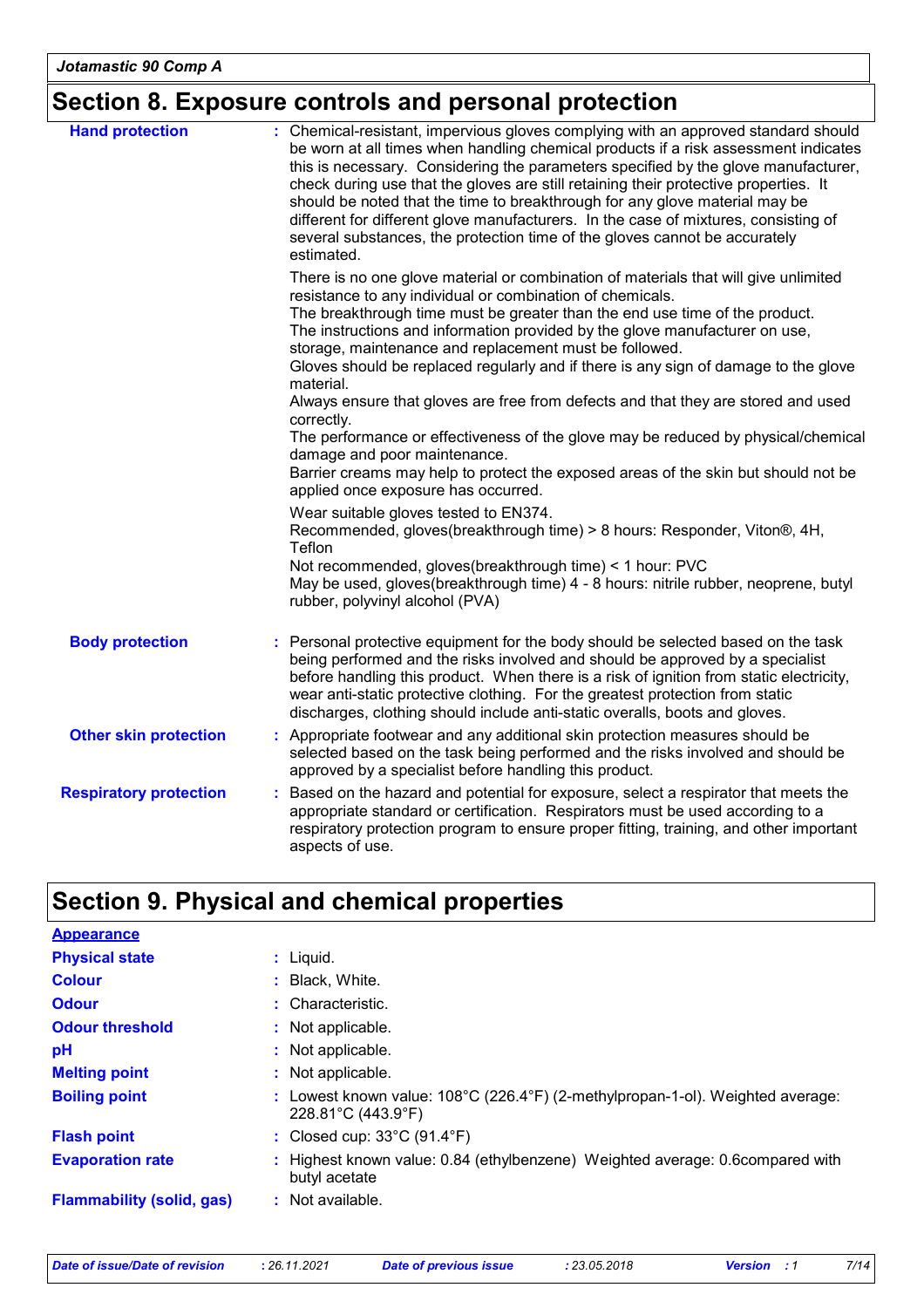# **Section 8. Exposure controls and personal protection**

| <b>Hand protection</b>        | : Chemical-resistant, impervious gloves complying with an approved standard should<br>be worn at all times when handling chemical products if a risk assessment indicates<br>this is necessary. Considering the parameters specified by the glove manufacturer,<br>check during use that the gloves are still retaining their protective properties. It<br>should be noted that the time to breakthrough for any glove material may be<br>different for different glove manufacturers. In the case of mixtures, consisting of<br>several substances, the protection time of the gloves cannot be accurately<br>estimated. |
|-------------------------------|---------------------------------------------------------------------------------------------------------------------------------------------------------------------------------------------------------------------------------------------------------------------------------------------------------------------------------------------------------------------------------------------------------------------------------------------------------------------------------------------------------------------------------------------------------------------------------------------------------------------------|
|                               | There is no one glove material or combination of materials that will give unlimited<br>resistance to any individual or combination of chemicals.<br>The breakthrough time must be greater than the end use time of the product.<br>The instructions and information provided by the glove manufacturer on use,<br>storage, maintenance and replacement must be followed.<br>Gloves should be replaced regularly and if there is any sign of damage to the glove                                                                                                                                                           |
|                               | material.<br>Always ensure that gloves are free from defects and that they are stored and used<br>correctly.<br>The performance or effectiveness of the glove may be reduced by physical/chemical                                                                                                                                                                                                                                                                                                                                                                                                                         |
|                               | damage and poor maintenance.<br>Barrier creams may help to protect the exposed areas of the skin but should not be<br>applied once exposure has occurred.                                                                                                                                                                                                                                                                                                                                                                                                                                                                 |
|                               | Wear suitable gloves tested to EN374.<br>Recommended, gloves(breakthrough time) > 8 hours: Responder, Viton®, 4H,<br>Teflon<br>Not recommended, gloves(breakthrough time) < 1 hour: PVC                                                                                                                                                                                                                                                                                                                                                                                                                                   |
|                               | May be used, gloves(breakthrough time) 4 - 8 hours: nitrile rubber, neoprene, butyl<br>rubber, polyvinyl alcohol (PVA)                                                                                                                                                                                                                                                                                                                                                                                                                                                                                                    |
| <b>Body protection</b>        | : Personal protective equipment for the body should be selected based on the task<br>being performed and the risks involved and should be approved by a specialist<br>before handling this product. When there is a risk of ignition from static electricity,<br>wear anti-static protective clothing. For the greatest protection from static<br>discharges, clothing should include anti-static overalls, boots and gloves.                                                                                                                                                                                             |
| <b>Other skin protection</b>  | : Appropriate footwear and any additional skin protection measures should be<br>selected based on the task being performed and the risks involved and should be<br>approved by a specialist before handling this product.                                                                                                                                                                                                                                                                                                                                                                                                 |
| <b>Respiratory protection</b> | : Based on the hazard and potential for exposure, select a respirator that meets the<br>appropriate standard or certification. Respirators must be used according to a<br>respiratory protection program to ensure proper fitting, training, and other important<br>aspects of use.                                                                                                                                                                                                                                                                                                                                       |

# **Section 9. Physical and chemical properties**

| <b>Appearance</b>                |                                                                                                                         |
|----------------------------------|-------------------------------------------------------------------------------------------------------------------------|
| <b>Physical state</b>            | : Liquid.                                                                                                               |
| <b>Colour</b>                    | Black, White.                                                                                                           |
| <b>Odour</b>                     | : Characteristic.                                                                                                       |
| <b>Odour threshold</b>           | : Not applicable.                                                                                                       |
| рH                               | : Not applicable.                                                                                                       |
| <b>Melting point</b>             | : Not applicable.                                                                                                       |
| <b>Boiling point</b>             | Lowest known value: 108°C (226.4°F) (2-methylpropan-1-ol). Weighted average:<br>$228.81^{\circ}$ C (443.9 $^{\circ}$ F) |
| <b>Flash point</b>               | : Closed cup: $33^{\circ}$ C (91.4 $^{\circ}$ F)                                                                        |
| <b>Evaporation rate</b>          | Highest known value: 0.84 (ethylbenzene) Weighted average: 0.6compared with<br>butyl acetate                            |
| <b>Flammability (solid, gas)</b> | : Not available.                                                                                                        |

| Date of issue/Date of revision | : 26.11. |
|--------------------------------|----------|
|                                |          |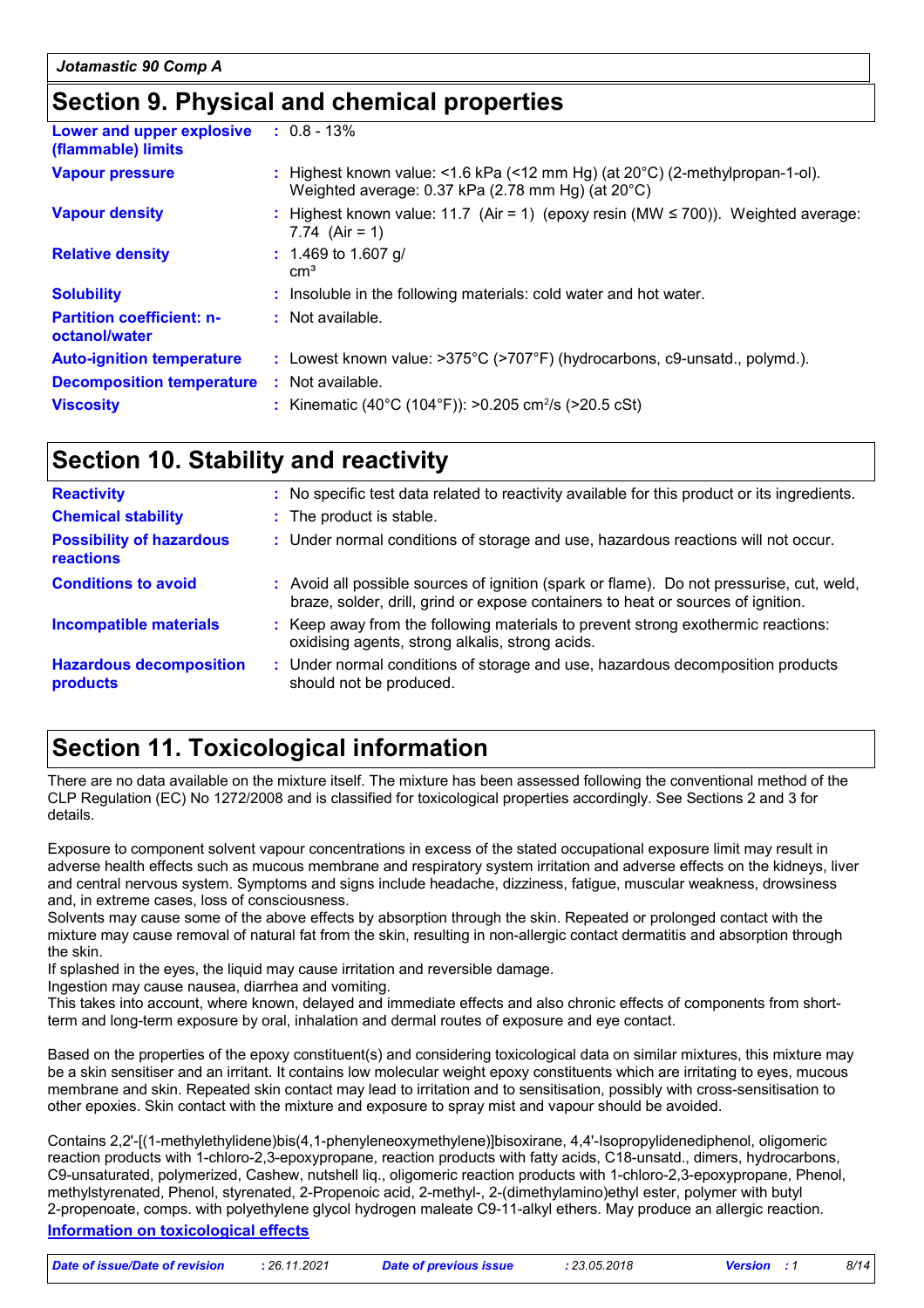### **Section 9. Physical and chemical properties**

| Lower and upper explosive<br>(flammable) limits   | $: 0.8 - 13\%$                                                                                                                              |
|---------------------------------------------------|---------------------------------------------------------------------------------------------------------------------------------------------|
| <b>Vapour pressure</b>                            | : Highest known value: <1.6 kPa (<12 mm Hg) (at $20^{\circ}$ C) (2-methylpropan-1-ol).<br>Weighted average: 0.37 kPa (2.78 mm Hg) (at 20°C) |
| <b>Vapour density</b>                             | : Highest known value: 11.7 (Air = 1) (epoxy resin (MW $\leq$ 700)). Weighted average:<br>7.74 $(Air = 1)$                                  |
| <b>Relative density</b>                           | $: 1.469$ to 1.607 g/<br>cm <sup>3</sup>                                                                                                    |
| <b>Solubility</b>                                 | : Insoluble in the following materials: cold water and hot water.                                                                           |
| <b>Partition coefficient: n-</b><br>octanol/water | : Not available.                                                                                                                            |
| <b>Auto-ignition temperature</b>                  | : Lowest known value: $>375^{\circ}$ C ( $>707^{\circ}$ F) (hydrocarbons, c9-unsatd., polymd.).                                             |
| <b>Decomposition temperature</b>                  | : Not available.                                                                                                                            |
| <b>Viscosity</b>                                  | : Kinematic (40°C (104°F)): >0.205 cm <sup>2</sup> /s (>20.5 cSt)                                                                           |
|                                                   |                                                                                                                                             |

### **Section 10. Stability and reactivity**

| <b>Reactivity</b>                            | : No specific test data related to reactivity available for this product or its ingredients.                                                                                 |
|----------------------------------------------|------------------------------------------------------------------------------------------------------------------------------------------------------------------------------|
| <b>Chemical stability</b>                    | : The product is stable.                                                                                                                                                     |
| <b>Possibility of hazardous</b><br>reactions | : Under normal conditions of storage and use, hazardous reactions will not occur.                                                                                            |
| <b>Conditions to avoid</b>                   | : Avoid all possible sources of ignition (spark or flame). Do not pressurise, cut, weld,<br>braze, solder, drill, grind or expose containers to heat or sources of ignition. |
| <b>Incompatible materials</b>                | : Keep away from the following materials to prevent strong exothermic reactions:<br>oxidising agents, strong alkalis, strong acids.                                          |
| <b>Hazardous decomposition</b><br>products   | : Under normal conditions of storage and use, hazardous decomposition products<br>should not be produced.                                                                    |

### **Section 11. Toxicological information**

There are no data available on the mixture itself. The mixture has been assessed following the conventional method of the CLP Regulation (EC) No 1272/2008 and is classified for toxicological properties accordingly. See Sections 2 and 3 for details.

Exposure to component solvent vapour concentrations in excess of the stated occupational exposure limit may result in adverse health effects such as mucous membrane and respiratory system irritation and adverse effects on the kidneys, liver and central nervous system. Symptoms and signs include headache, dizziness, fatigue, muscular weakness, drowsiness and, in extreme cases, loss of consciousness.

Solvents may cause some of the above effects by absorption through the skin. Repeated or prolonged contact with the mixture may cause removal of natural fat from the skin, resulting in non-allergic contact dermatitis and absorption through the skin.

If splashed in the eyes, the liquid may cause irritation and reversible damage.

Ingestion may cause nausea, diarrhea and vomiting.

This takes into account, where known, delayed and immediate effects and also chronic effects of components from shortterm and long-term exposure by oral, inhalation and dermal routes of exposure and eye contact.

Based on the properties of the epoxy constituent(s) and considering toxicological data on similar mixtures, this mixture may be a skin sensitiser and an irritant. It contains low molecular weight epoxy constituents which are irritating to eyes, mucous membrane and skin. Repeated skin contact may lead to irritation and to sensitisation, possibly with cross-sensitisation to other epoxies. Skin contact with the mixture and exposure to spray mist and vapour should be avoided.

**Information on toxicological effects** Contains 2,2'-[(1-methylethylidene)bis(4,1-phenyleneoxymethylene)]bisoxirane, 4,4'-Isopropylidenediphenol, oligomeric reaction products with 1-chloro-2,3-epoxypropane, reaction products with fatty acids, C18-unsatd., dimers, hydrocarbons, C9-unsaturated, polymerized, Cashew, nutshell liq., oligomeric reaction products with 1-chloro-2,3-epoxypropane, Phenol, methylstyrenated, Phenol, styrenated, 2-Propenoic acid, 2-methyl-, 2-(dimethylamino)ethyl ester, polymer with butyl 2-propenoate, comps. with polyethylene glycol hydrogen maleate C9-11-alkyl ethers. May produce an allergic reaction.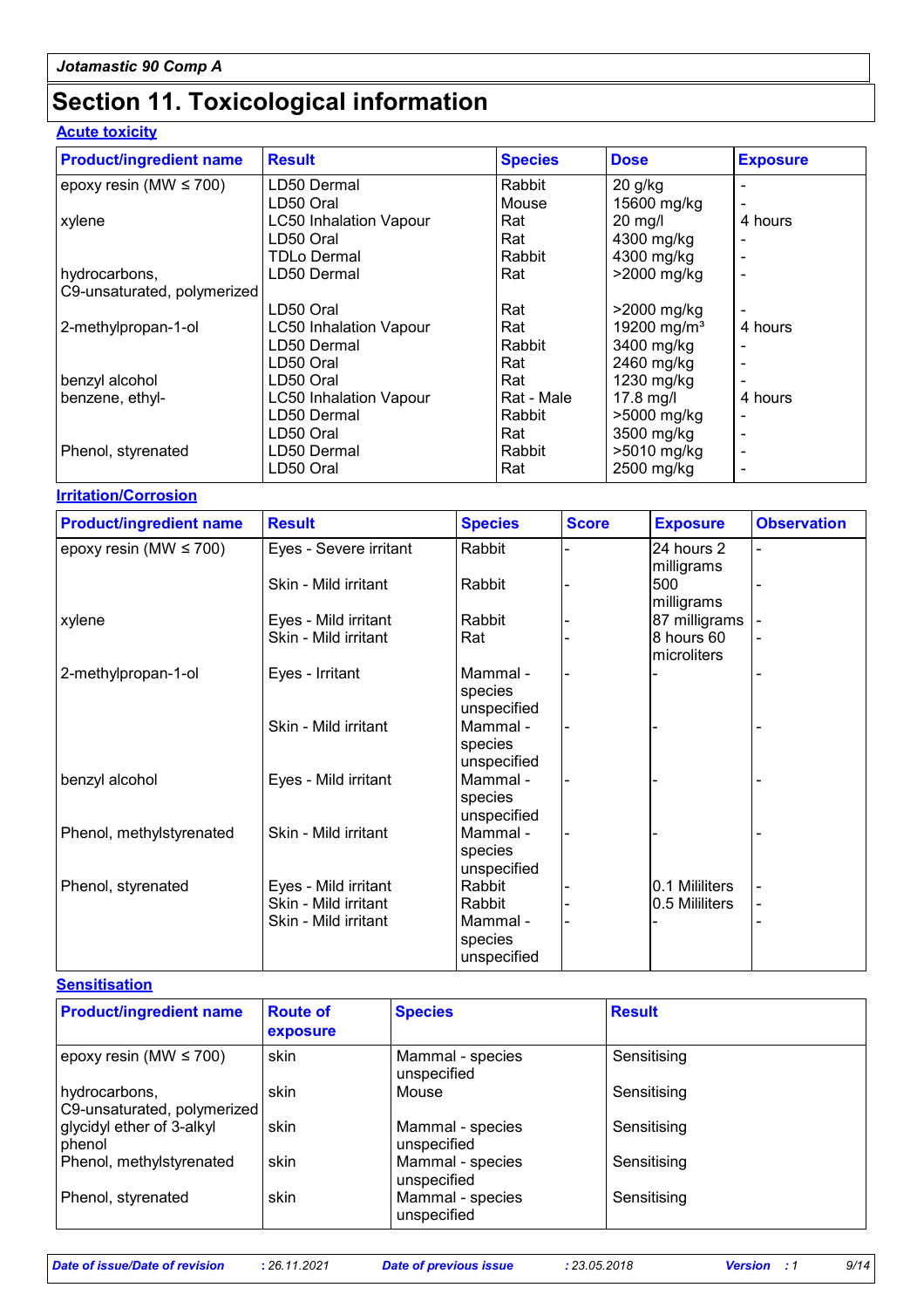# **Section 11. Toxicological information**

### **Acute toxicity**

| <b>Product/ingredient name</b> | <b>Result</b>                 | <b>Species</b> | <b>Dose</b>             | <b>Exposure</b> |
|--------------------------------|-------------------------------|----------------|-------------------------|-----------------|
| epoxy resin (MW $\leq$ 700)    | LD50 Dermal                   | Rabbit         | $20$ g/kg               |                 |
|                                | LD50 Oral                     | Mouse          | 15600 mg/kg             |                 |
| xylene                         | <b>LC50 Inhalation Vapour</b> | Rat            | $20$ mg/l               | 4 hours         |
|                                | LD50 Oral                     | Rat            | 4300 mg/kg              |                 |
|                                | TDLo Dermal                   | Rabbit         | 4300 mg/kg              |                 |
| hydrocarbons,                  | LD50 Dermal                   | Rat            | >2000 mg/kg             |                 |
| C9-unsaturated, polymerized    |                               |                |                         |                 |
|                                | LD50 Oral                     | Rat            | >2000 mg/kg             |                 |
| 2-methylpropan-1-ol            | <b>LC50 Inhalation Vapour</b> | Rat            | 19200 mg/m <sup>3</sup> | 4 hours         |
|                                | LD50 Dermal                   | Rabbit         | 3400 mg/kg              |                 |
|                                | LD50 Oral                     | Rat            | 2460 mg/kg              |                 |
| benzyl alcohol                 | LD50 Oral                     | Rat            | 1230 mg/kg              |                 |
| benzene, ethyl-                | <b>LC50 Inhalation Vapour</b> | Rat - Male     | $17.8$ mg/l             | 4 hours         |
|                                | LD50 Dermal                   | Rabbit         | >5000 mg/kg             |                 |
|                                | LD50 Oral                     | Rat            | 3500 mg/kg              |                 |
| Phenol, styrenated             | LD50 Dermal                   | Rabbit         | >5010 mg/kg             |                 |
|                                | LD50 Oral                     | Rat            | 2500 mg/kg              |                 |

**Irritation/Corrosion**

| <b>Product/ingredient name</b> | <b>Result</b>          | <b>Species</b> | <b>Score</b> | <b>Exposure</b>   | <b>Observation</b> |
|--------------------------------|------------------------|----------------|--------------|-------------------|--------------------|
| epoxy resin (MW $\leq$ 700)    | Eyes - Severe irritant | Rabbit         |              | 24 hours 2        |                    |
|                                | Skin - Mild irritant   | Rabbit         |              | milligrams<br>500 |                    |
|                                |                        |                |              | milligrams        |                    |
| xylene                         | Eyes - Mild irritant   | Rabbit         |              | 87 milligrams     |                    |
|                                | Skin - Mild irritant   | Rat            |              | 8 hours 60        |                    |
|                                |                        |                |              | microliters       |                    |
| 2-methylpropan-1-ol            | Eyes - Irritant        | Mammal -       |              |                   |                    |
|                                |                        | species        |              |                   |                    |
|                                |                        | unspecified    |              |                   |                    |
|                                | Skin - Mild irritant   | Mammal -       |              |                   |                    |
|                                |                        | species        |              |                   |                    |
|                                |                        | unspecified    |              |                   |                    |
| benzyl alcohol                 | Eyes - Mild irritant   | Mammal -       |              |                   |                    |
|                                |                        | species        |              |                   |                    |
|                                |                        | unspecified    |              |                   |                    |
| Phenol, methylstyrenated       | Skin - Mild irritant   | Mammal -       |              |                   |                    |
|                                |                        | species        |              |                   |                    |
|                                |                        | unspecified    |              |                   |                    |
| Phenol, styrenated             | Eyes - Mild irritant   | Rabbit         |              | I0.1 Mililiters   |                    |
|                                | Skin - Mild irritant   | Rabbit         |              | 0.5 Mililiters    |                    |
|                                | Skin - Mild irritant   | Mammal -       |              |                   |                    |
|                                |                        | species        |              |                   |                    |
|                                |                        | unspecified    |              |                   |                    |

**Sensitisation**

| <b>Product/ingredient name</b>               | <b>Route of</b><br>exposure | <b>Species</b>                  | <b>Result</b> |
|----------------------------------------------|-----------------------------|---------------------------------|---------------|
| epoxy resin (MW $\leq$ 700)                  | skin                        | Mammal - species<br>unspecified | Sensitising   |
| hydrocarbons,<br>C9-unsaturated, polymerized | skin                        | Mouse                           | Sensitising   |
| glycidyl ether of 3-alkyl<br>phenol          | skin                        | Mammal - species<br>unspecified | Sensitising   |
| Phenol, methylstyrenated                     | skin                        | Mammal - species<br>unspecified | Sensitising   |
| Phenol, styrenated                           | skin                        | Mammal - species<br>unspecified | Sensitising   |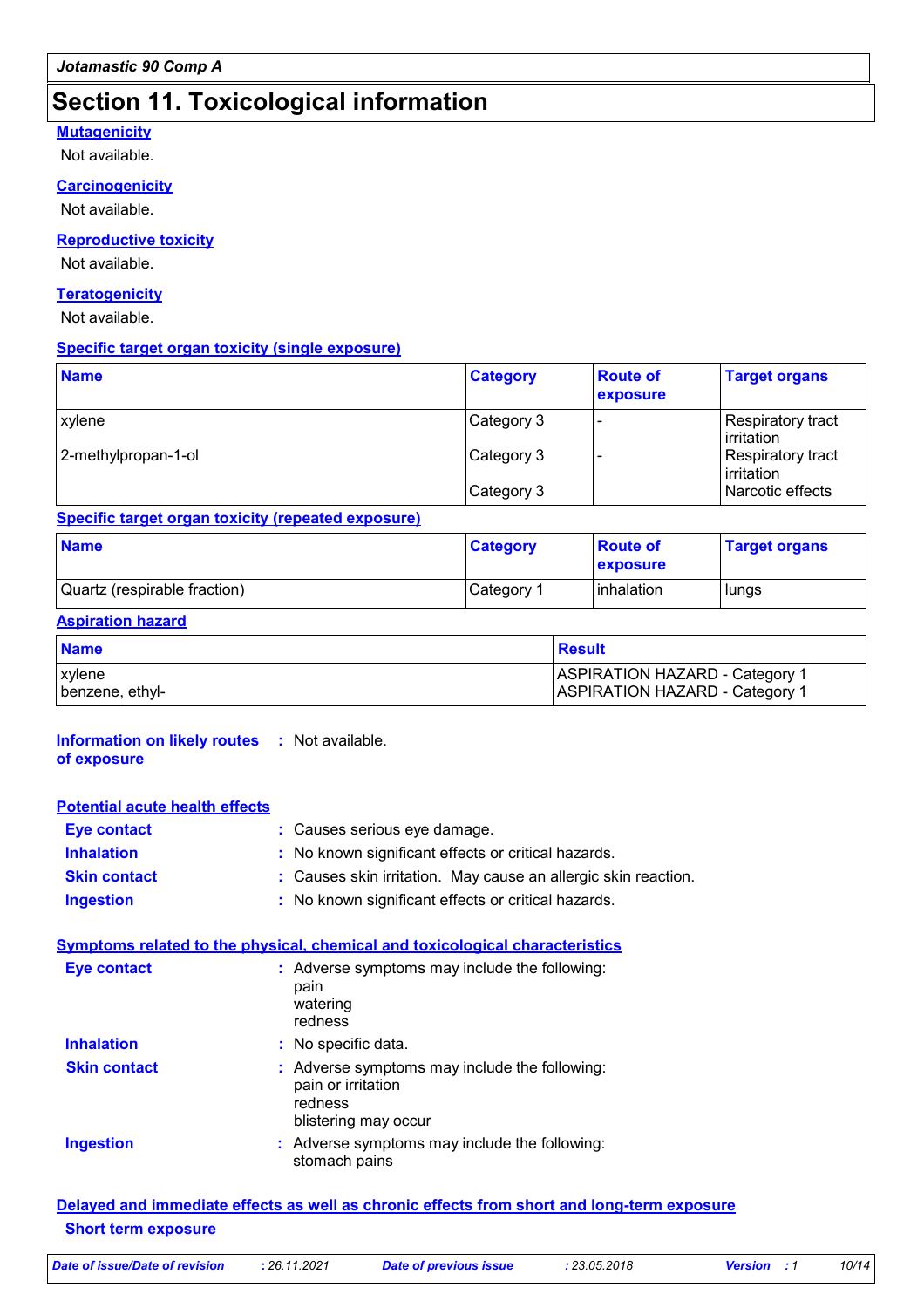### **Section 11. Toxicological information**

#### **Mutagenicity**

Not available.

#### **Carcinogenicity**

Not available.

#### **Reproductive toxicity**

Not available.

#### **Teratogenicity**

Not available.

#### **Specific target organ toxicity (single exposure)**

| <b>Name</b>         | <b>Category</b> | <b>Route of</b><br>exposure | <b>Target organs</b>            |
|---------------------|-----------------|-----------------------------|---------------------------------|
| xylene              | Category 3      |                             | Respiratory tract<br>irritation |
| 2-methylpropan-1-ol | Category 3      |                             | Respiratory tract<br>irritation |
|                     | Category 3      |                             | Narcotic effects                |

#### **Specific target organ toxicity (repeated exposure)**

| <b>Name</b>                  | <b>Category</b> | <b>Route of</b><br><b>exposure</b> | <b>Target organs</b> |
|------------------------------|-----------------|------------------------------------|----------------------|
| Quartz (respirable fraction) | Category 1      | Iinhalation                        | lungs                |

#### **Aspiration hazard**

| <b>Name</b>     | Result                                |
|-----------------|---------------------------------------|
| <b>xylene</b>   | <b>ASPIRATION HAZARD - Category 1</b> |
| benzene, ethyl- | <b>ASPIRATION HAZARD - Category 1</b> |

#### **Information on likely routes :** Not available. **of exposure**

#### **Potential acute health effects**

| <b>Eye contact</b>  | : Causes serious eye damage.                                   |
|---------------------|----------------------------------------------------------------|
| <b>Inhalation</b>   | : No known significant effects or critical hazards.            |
| <b>Skin contact</b> | : Causes skin irritation. May cause an allergic skin reaction. |
| <b>Ingestion</b>    | : No known significant effects or critical hazards.            |

#### **Symptoms related to the physical, chemical and toxicological characteristics**

| <b>Eye contact</b>  | : Adverse symptoms may include the following:<br>pain<br>watering<br>redness                           |
|---------------------|--------------------------------------------------------------------------------------------------------|
| <b>Inhalation</b>   | : No specific data.                                                                                    |
| <b>Skin contact</b> | : Adverse symptoms may include the following:<br>pain or irritation<br>redness<br>blistering may occur |
| <b>Ingestion</b>    | : Adverse symptoms may include the following:<br>stomach pains                                         |

#### **Delayed and immediate effects as well as chronic effects from short and long-term exposure Short term exposure**

| Date of issue/Date of revision | 26.11.2021 | Date of previous issue | : 23.05.2018 | <b>Version</b> : 1 | 10/14 |
|--------------------------------|------------|------------------------|--------------|--------------------|-------|
|                                |            |                        |              |                    |       |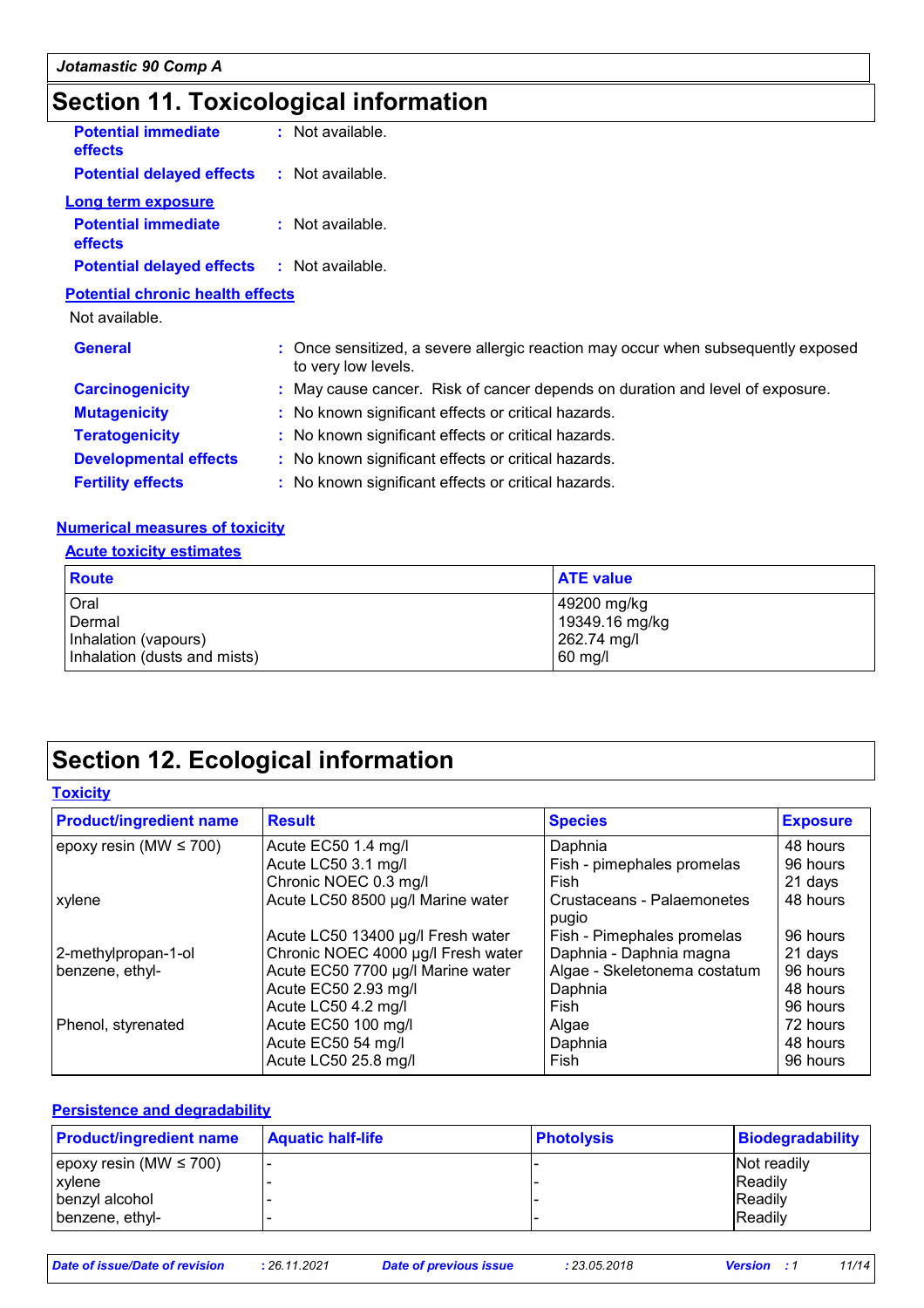# **Section 11. Toxicological information**

| <b>Potential immediate</b><br>effects   | $:$ Not available. |  |  |  |
|-----------------------------------------|--------------------|--|--|--|
| <b>Potential delayed effects</b>        | $:$ Not available. |  |  |  |
| Long term exposure                      |                    |  |  |  |
| <b>Potential immediate</b><br>effects   | $:$ Not available. |  |  |  |
| <b>Potential delayed effects</b>        | : Not available.   |  |  |  |
| <b>Potential chronic health effects</b> |                    |  |  |  |

Not available.

| <b>General</b>               | : Once sensitized, a severe allergic reaction may occur when subsequently exposed<br>to very low levels. |
|------------------------------|----------------------------------------------------------------------------------------------------------|
| <b>Carcinogenicity</b>       | : May cause cancer. Risk of cancer depends on duration and level of exposure.                            |
| <b>Mutagenicity</b>          | : No known significant effects or critical hazards.                                                      |
| <b>Teratogenicity</b>        | : No known significant effects or critical hazards.                                                      |
| <b>Developmental effects</b> | : No known significant effects or critical hazards.                                                      |
| <b>Fertility effects</b>     | : No known significant effects or critical hazards.                                                      |

#### **Numerical measures of toxicity**

#### **Acute toxicity estimates**

| Route                        | <b>ATE value</b> |
|------------------------------|------------------|
| Oral                         | 49200 mg/kg      |
| Dermal                       | 19349.16 mg/kg   |
| Inhalation (vapours)         | 262.74 mg/l      |
| Inhalation (dusts and mists) | 60 mg/l          |

# **Section 12. Ecological information**

#### **Toxicity**

| <b>Product/ingredient name</b> | <b>Result</b>                      | <b>Species</b>                      | <b>Exposure</b> |
|--------------------------------|------------------------------------|-------------------------------------|-----------------|
| epoxy resin (MW $\leq$ 700)    | Acute EC50 1.4 mg/l                | Daphnia                             | 48 hours        |
|                                | Acute LC50 3.1 mg/l                | Fish - pimephales promelas          | 96 hours        |
|                                | Chronic NOEC 0.3 mg/l              | Fish                                | 21 days         |
| xylene                         | Acute LC50 8500 µg/l Marine water  | Crustaceans - Palaemonetes<br>pugio | 48 hours        |
|                                | Acute LC50 13400 µg/l Fresh water  | Fish - Pimephales promelas          | 96 hours        |
| 2-methylpropan-1-ol            | Chronic NOEC 4000 µg/l Fresh water | Daphnia - Daphnia magna             | 21 days         |
| benzene, ethyl-                | Acute EC50 7700 µg/l Marine water  | Algae - Skeletonema costatum        | 96 hours        |
|                                | Acute EC50 2.93 mg/l               | Daphnia                             | 48 hours        |
|                                | Acute LC50 4.2 mg/l                | Fish                                | 96 hours        |
| Phenol, styrenated             | Acute EC50 100 mg/l                | Algae                               | 72 hours        |
|                                | Acute EC50 54 mg/l                 | Daphnia                             | 48 hours        |
|                                | Acute LC50 25.8 mg/l               | Fish                                | 96 hours        |

#### **Persistence and degradability**

| <b>Product/ingredient name</b> | <b>Aquatic half-life</b> | <b>Photolysis</b> | Biodegradability |
|--------------------------------|--------------------------|-------------------|------------------|
| epoxy resin (MW $\leq$ 700)    |                          |                   | Not readily      |
| <b>xylene</b>                  |                          |                   | <b>IReadily</b>  |
| benzyl alcohol                 |                          |                   | <b>Readily</b>   |
| benzene, ethyl-                |                          |                   | Readily          |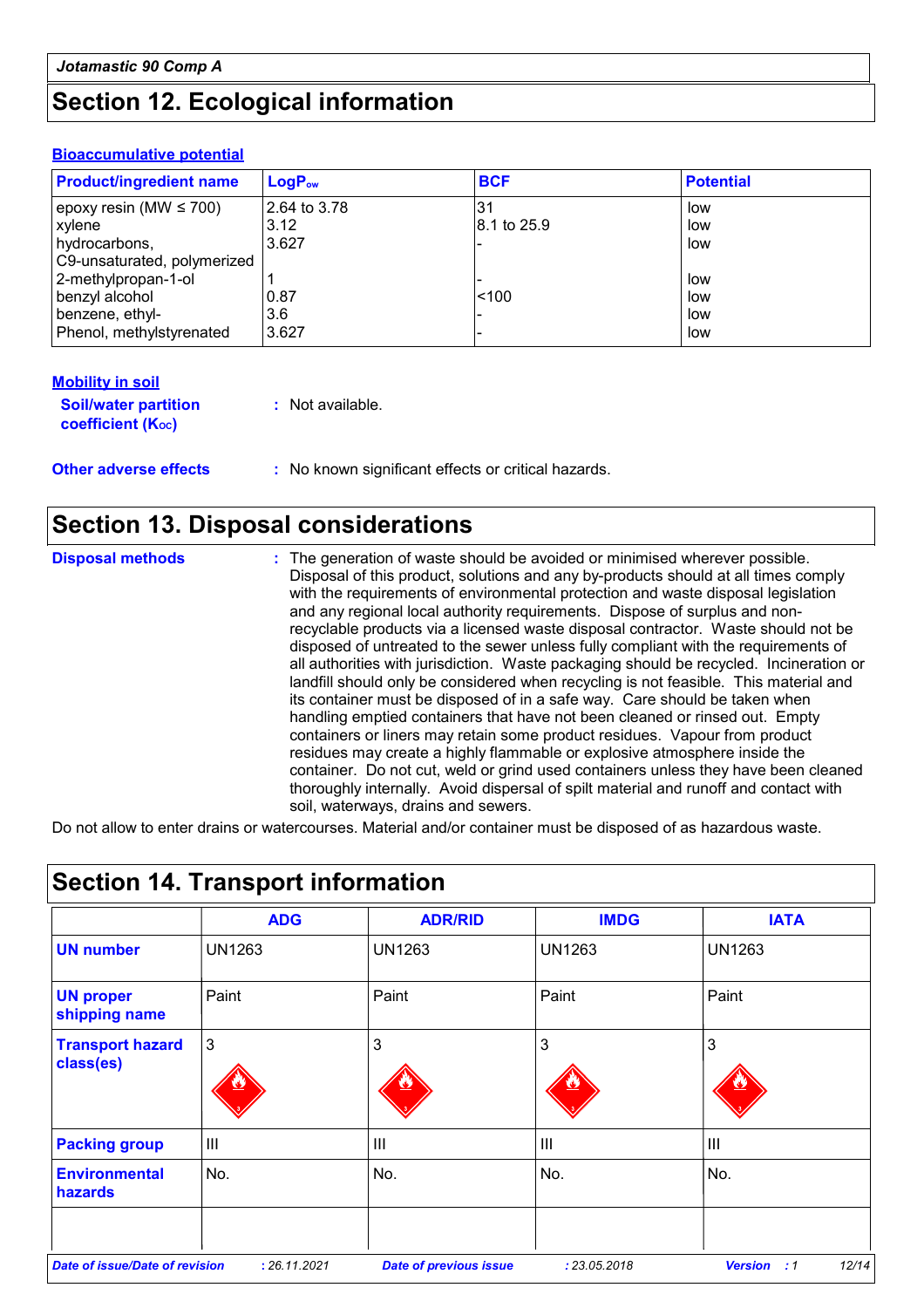### **Section 12. Ecological information**

#### **Bioaccumulative potential**

| <b>Product/ingredient name</b> | $LogP_{ow}$  | <b>BCF</b>  | <b>Potential</b> |
|--------------------------------|--------------|-------------|------------------|
| epoxy resin (MW $\leq$ 700)    | 2.64 to 3.78 | .31         | low              |
| <b>xylene</b>                  | 3.12         | 8.1 to 25.9 | low              |
| hydrocarbons,                  | 3.627        |             | low              |
| C9-unsaturated, polymerized    |              |             |                  |
| 2-methylpropan-1-ol            |              |             | low              |
| benzyl alcohol                 | 0.87         | < 100       | low              |
| benzene, ethyl-                | 3.6          |             | low              |
| Phenol, methylstyrenated       | 3.627        |             | low              |

| <b>Mobility in soil</b>                                 |                                                     |
|---------------------------------------------------------|-----------------------------------------------------|
| <b>Soil/water partition</b><br><b>coefficient (Koc)</b> | : Not available.                                    |
| <b>Other adverse effects</b>                            | : No known significant effects or critical hazards. |

### **Section 13. Disposal considerations**

**Disposal methods :**

The generation of waste should be avoided or minimised wherever possible. Disposal of this product, solutions and any by-products should at all times comply with the requirements of environmental protection and waste disposal legislation and any regional local authority requirements. Dispose of surplus and nonrecyclable products via a licensed waste disposal contractor. Waste should not be disposed of untreated to the sewer unless fully compliant with the requirements of all authorities with jurisdiction. Waste packaging should be recycled. Incineration or landfill should only be considered when recycling is not feasible. This material and its container must be disposed of in a safe way. Care should be taken when handling emptied containers that have not been cleaned or rinsed out. Empty containers or liners may retain some product residues. Vapour from product residues may create a highly flammable or explosive atmosphere inside the container. Do not cut, weld or grind used containers unless they have been cleaned thoroughly internally. Avoid dispersal of spilt material and runoff and contact with soil, waterways, drains and sewers.

Do not allow to enter drains or watercourses. Material and/or container must be disposed of as hazardous waste.

|                                       | <b>ADG</b>     | <b>ADR/RID</b>                | <b>IMDG</b>    | <b>IATA</b>          |
|---------------------------------------|----------------|-------------------------------|----------------|----------------------|
| <b>UN number</b>                      | <b>UN1263</b>  | <b>UN1263</b>                 | <b>UN1263</b>  | <b>UN1263</b>        |
| <b>UN proper</b><br>shipping name     | Paint          | Paint                         | Paint          | Paint                |
| <b>Transport hazard</b><br>class(es)  | $\overline{3}$ | 3                             | 3              | 3                    |
| <b>Packing group</b>                  | $\mathbf{III}$ | $\mathbf{III}$                | $\mathbf{III}$ | III                  |
| <b>Environmental</b><br>hazards       | No.            | No.                           | No.            | No.                  |
|                                       |                |                               |                |                      |
| <b>Date of issue/Date of revision</b> | : 26.11.2021   | <b>Date of previous issue</b> | : 23.05.2018   | <b>Version</b><br>:1 |

# **Section 14. Transport information**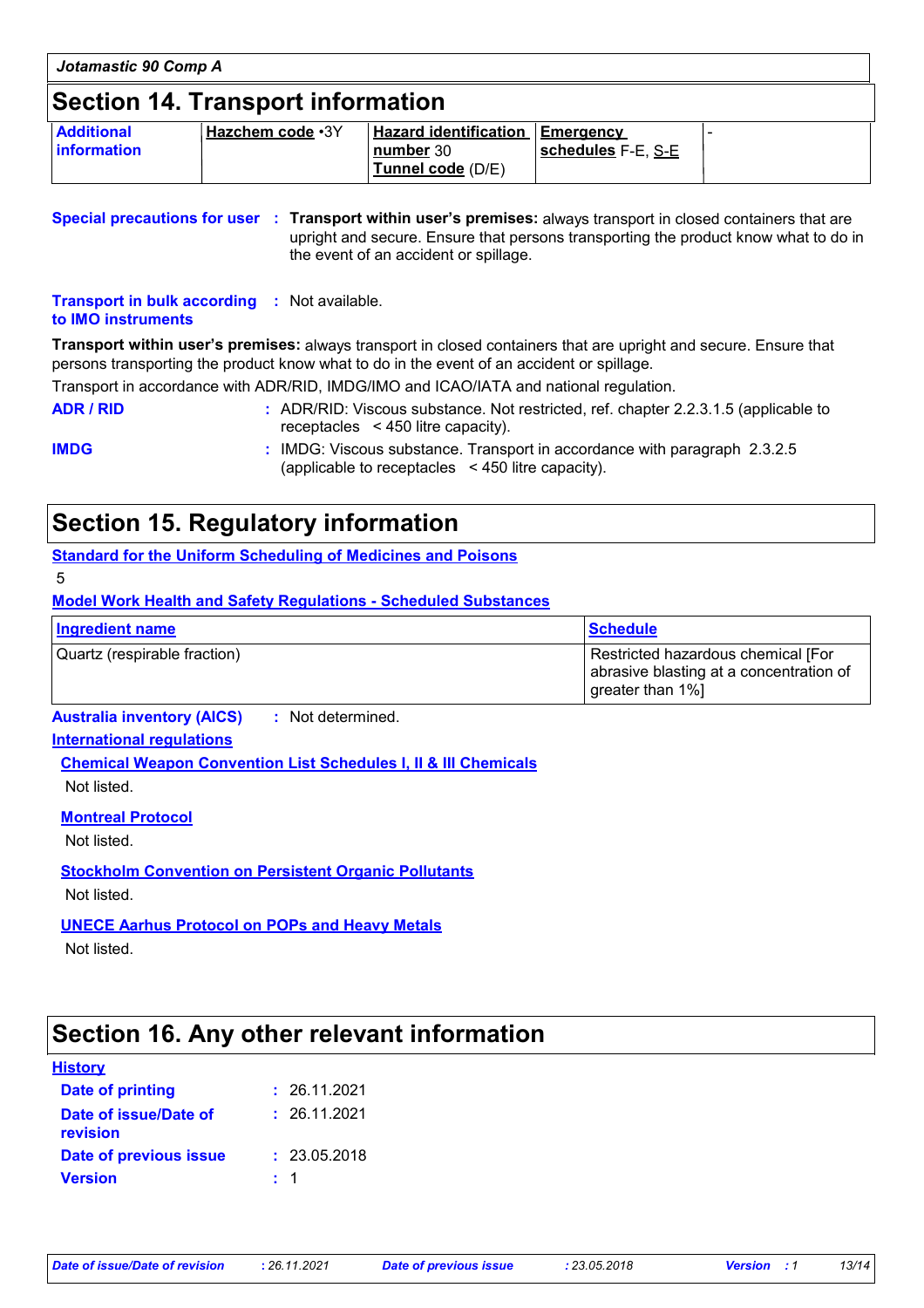| Jotamastic 90 Comp A                     |                  |                                                                          |                    |  |
|------------------------------------------|------------------|--------------------------------------------------------------------------|--------------------|--|
| <b>Section 14. Transport information</b> |                  |                                                                          |                    |  |
| <b>Additional</b><br>information         | Hazchem code .3Y | <b>Hazard identification Emergency</b><br>number 30<br>Tunnel code (D/E) | schedules F-E, S-E |  |

**Special precautions for user Transport within user's premises:** always transport in closed containers that are **:** upright and secure. Ensure that persons transporting the product know what to do in the event of an accident or spillage.

**Transport in bulk according :** Not available. **to IMO instruments**

**Transport within user's premises:** always transport in closed containers that are upright and secure. Ensure that persons transporting the product know what to do in the event of an accident or spillage.

Transport in accordance with ADR/RID, IMDG/IMO and ICAO/IATA and national regulation.

**ADR / RID :** ADR/RID: Viscous substance. Not restricted, ref. chapter 2.2.3.1.5 (applicable to receptacles < 450 litre capacity).

**IMDG :** IMDG: Viscous substance. Transport in accordance with paragraph 2.3.2.5 (applicable to receptacles < 450 litre capacity).

### **Section 15. Regulatory information**

**Standard for the Uniform Scheduling of Medicines and Poisons**

5

**Model Work Health and Safety Regulations - Scheduled Substances**

| Ingredient name              | <b>Schedule</b>                                                                                   |
|------------------------------|---------------------------------------------------------------------------------------------------|
| Quartz (respirable fraction) | Restricted hazardous chemical [For<br>abrasive blasting at a concentration of<br>greater than 1%] |

**Australia inventory (AICS) :** Not determined.

#### **International regulations**

**Chemical Weapon Convention List Schedules I, II & III Chemicals** Not listed.

**Montreal Protocol**

Not listed.

**Stockholm Convention on Persistent Organic Pollutants** Not listed.

**UNECE Aarhus Protocol on POPs and Heavy Metals**

Not listed.

### **Section 16. Any other relevant information**

#### **History**

| Date of printing                  | : 26.11.2021 |
|-----------------------------------|--------------|
| Date of issue/Date of<br>revision | : 26.11.2021 |
| Date of previous issue            | : 23.05.2018 |
| <b>Version</b>                    | $\pm$ 1      |